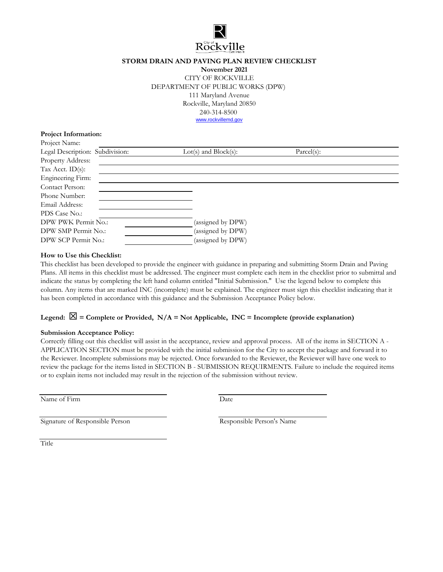

### **STORM DRAIN AND PAVING PLAN REVIEW CHECKLIST**

**November 2021** CITY OF ROCKVILLE DEPARTMENT OF PUBLIC WORKS (DPW) 111 Maryland Avenue Rockville, Maryland 20850 240-314-8500 [w](http://www.rockvillemd.gov/)ww.rockvillemd.gov

#### **Project Information:**

| Project Name:                   |                           |            |
|---------------------------------|---------------------------|------------|
| Legal Description: Subdivision: | $Lot(s)$ and $Block(s)$ : | Parcel(s): |
| Property Address:               |                           |            |
| Tax Acct. $ID(s)$ :             |                           |            |
| Engineering Firm:               |                           |            |
| Contact Person:                 |                           |            |
| Phone Number:                   |                           |            |
| Email Address:                  |                           |            |
| PDS Case No.:                   |                           |            |
| DPW PWK Permit No.:             | (assigned by DPW)         |            |
| DPW SMP Permit No.:             | (assigned by DPW)         |            |
| DPW SCP Permit No.:             | (assigned by DPW)         |            |

#### **How to Use this Checklist:**

This checklist has been developed to provide the engineer with guidance in preparing and submitting Storm Drain and Paving Plans. All items in this checklist must be addressed. The engineer must complete each item in the checklist prior to submittal and indicate the status by completing the left hand column entitled "Initial Submission." Use the legend below to complete this column. Any items that are marked INC (incomplete) must be explained. The engineer must sign this checklist indicating that it has been completed in accordance with this guidance and the Submission Acceptance Policy below.

### Legend:  $\boxtimes$  = Complete or Provided, N/A = Not Applicable, INC = Incomplete (provide explanation)

#### **Submission Acceptance Policy:**

Correctly filling out this checklist will assist in the acceptance, review and approval process. All of the items in SECTION A - APPLICATION SECTION must be provided with the initial submission for the City to accept the package and forward it to the Reviewer. Incomplete submissions may be rejected. Once forwarded to the Reviewer, the Reviewer will have one week to review the package for the items listed in SECTION B - SUBMISSION REQUIRMENTS. Failure to include the required items or to explain items not included may result in the rejection of the submission without review.

Name of Firm

Date

Signature of Responsible Person Responsible Person's Name

Title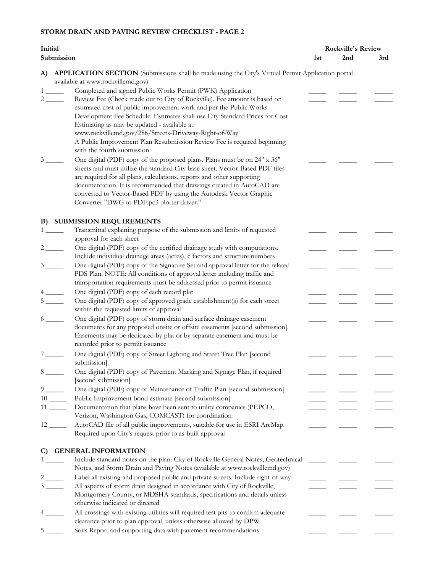| Initial                           |                                                                                                                                                                                                                                                                                                                                                                                                                                                                                             | <b>Rockville's Review</b> |     |     |
|-----------------------------------|---------------------------------------------------------------------------------------------------------------------------------------------------------------------------------------------------------------------------------------------------------------------------------------------------------------------------------------------------------------------------------------------------------------------------------------------------------------------------------------------|---------------------------|-----|-----|
|                                   | Submission                                                                                                                                                                                                                                                                                                                                                                                                                                                                                  | 1st                       | 2nd | 3rd |
| A)                                | <b>APPLICATION SECTION</b> (Submissions shall be made using the City's Virtual Permit Application portal<br>available at www.rockvillemd.gov)                                                                                                                                                                                                                                                                                                                                               |                           |     |     |
| $1 \qquad \qquad$<br>$\mathbf{2}$ | Completed and signed Public Works Permit (PWK) Application<br>Review Fee (Check made out to City of Rockville). Fee amount is based on<br>estimated cost of public improvement work and per the Public Works<br>Development Fee Schedule. Estimates shall use City Standard Prices for Cost<br>Estimating as may be updated - available at:<br>www.rockvillemd.gov/286/Streets-Driveway-Right-of-Way<br>A Public Improvement Plan Resubmission Review Fee is required beginning             |                           |     |     |
| 3                                 | with the fourth submission<br>One digital (PDF) copy of the proposed plans. Plans must be on 24" x 36"<br>sheets and must utilize the standard City base sheet. Vector-Based PDF files<br>are required for all plans, calculations, reports and other supporting<br>documentation. It is recommended that drawings created in AutoCAD are<br>converted to Vector-Based PDF by using the Autodesk Vector Graphic<br>Converter "DWG to PDF.pc3 plotter driver."                               |                           |     |     |
| B)                                | <b>SUBMISSION REQUIREMENTS</b>                                                                                                                                                                                                                                                                                                                                                                                                                                                              |                           |     |     |
| 1                                 | Transmittal explaining purpose of the submission and limits of requested<br>approval for each sheet                                                                                                                                                                                                                                                                                                                                                                                         |                           |     |     |
|                                   | One digital (PDF) copy of the certified drainage study with computations.<br>$2 \sim$                                                                                                                                                                                                                                                                                                                                                                                                       |                           |     |     |
|                                   | Include individual drainage areas (acres), c factors and structure numbers<br>One digital (PDF) copy of the Signature Set and approval letter for the related<br>$3 \quad \text{ }$<br>PDS Plan. NOTE: All conditions of approval letter including traffic and<br>transportation requirements must be addressed prior to permit issuance                                                                                                                                                    |                           |     |     |
|                                   | One digital (PDF) copy of each record plat                                                                                                                                                                                                                                                                                                                                                                                                                                                  |                           |     |     |
|                                   | $5 \underline{\hspace{1cm}}$<br>One digital (PDF) copy of approved grade establishment(s) for each street<br>within the requested limits of approval                                                                                                                                                                                                                                                                                                                                        |                           |     |     |
|                                   | One digital (PDF) copy of storm drain and surface drainage easement<br>$6 \quad \overline{\quad}$<br>documents for any proposed onsite or offsite easements [second submission].<br>Easements may be dedicated by plat or by separate easement and must be<br>recorded prior to permit issuance                                                                                                                                                                                             |                           |     |     |
|                                   | One digital (PDF) copy of Street Lighting and Street Tree Plan [second<br>submission]                                                                                                                                                                                                                                                                                                                                                                                                       |                           |     |     |
|                                   | $8 \qquad \qquad$<br>One digital (PDF) copy of Pavement Marking and Signage Plan, if required<br>[second submission]                                                                                                                                                                                                                                                                                                                                                                        |                           |     |     |
| 9                                 | One digital (PDF) copy of Maintenance of Traffic Plan [second submission]                                                                                                                                                                                                                                                                                                                                                                                                                   |                           |     |     |
|                                   | Public Improvement bond estimate [second submission]<br>$10$ <sub>_____</sub><br>Documentation that plans have been sent to utility companies (PEPCO,<br>$11$ <sub>-----</sub><br>Verizon, Washington Gas, COMCAST) for coordination                                                                                                                                                                                                                                                        |                           |     |     |
|                                   | AutoCAD file of all public improvements, suitable for use in ESRI ArcMap.<br>$12 \_\_$<br>Required upon City's request prior to as-built approval                                                                                                                                                                                                                                                                                                                                           |                           |     |     |
| C)                                | <b>GENERAL INFORMATION</b>                                                                                                                                                                                                                                                                                                                                                                                                                                                                  |                           |     |     |
|                                   | Include standard notes on the plan: City of Rockville General Notes, Geotechnical<br>Notes, and Storm Drain and Paving Notes (available at www.rockvillemd.gov)<br>Label all existing and proposed public and private streets. Include right-of-way<br>$2 \sim$<br>All aspects of storm drain designed in accordance with City of Rockville,<br>$3 \underline{\hspace{1cm}}$<br>Montgomery County, or MDSHA standards, specifications and details unless<br>otherwise indicated or directed |                           |     |     |
|                                   | All crossings with existing utilities will required test pits to confirm adequate                                                                                                                                                                                                                                                                                                                                                                                                           |                           |     |     |
| 5                                 | clearance prior to plan approval, unless otherwise allowed by DPW<br>Soils Report and supporting data with pavement recommendations                                                                                                                                                                                                                                                                                                                                                         |                           |     |     |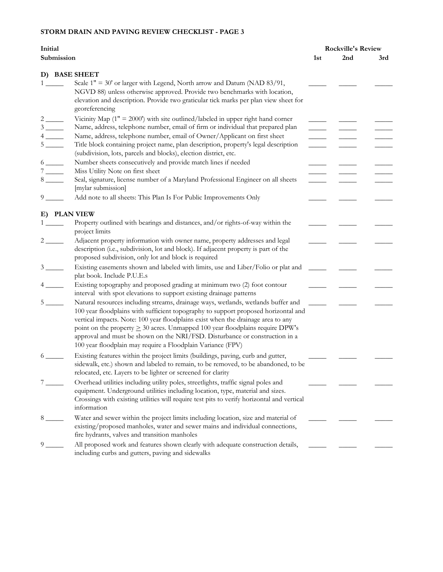| Submission<br>2nd<br>1st<br>3rd<br>D) BASE SHEET<br>Scale $1" = 30'$ or larger with Legend, North arrow and Datum (NAD 83/91,<br>NGVD 88) unless otherwise approved. Provide two benchmarks with location,<br>elevation and description. Provide two graticular tick marks per plan view sheet for<br>georeferencing<br>Vicinity Map $(1" = 2000')$ with site outlined/labeled in upper right hand corner<br>Name, address, telephone number, email of firm or individual that prepared plan<br>Name, address, telephone number, email of Owner/Applicant on first sheet<br>Title block containing project name, plan description, property's legal description<br>$5 \underline{\hspace{1cm}}$<br>(subdivision, lots, parcels and blocks), election district, etc.<br>Number sheets consecutively and provide match lines if needed<br>Miss Utility Note on first sheet<br>$7 \underline{\hspace{1cm}}$<br>Seal, signature, license number of a Maryland Professional Engineer on all sheets<br>$8 \underline{\hspace{1cm}}$<br>[mylar submission]<br>Add note to all sheets: This Plan Is For Public Improvements Only<br>$9 \quad \overline{\quad}$<br>E) PLAN VIEW<br>Property outlined with bearings and distances, and/or rights-of-way within the<br>project limits<br>Adjacent property information with owner name, property addresses and legal<br>$\frac{2}{\sqrt{2}}$<br>description (i.e., subdivision, lot and block). If adjacent property is part of the<br>proposed subdivision, only lot and block is required<br>Existing easements shown and labeled with limits, use and Liber/Folio or plat and<br>$3 \quad \qquad$<br>plat book. Include P.U.E.s<br>Existing topography and proposed grading at minimum two (2) foot contour<br>interval with spot elevations to support existing drainage patterns<br>Natural resources including streams, drainage ways, wetlands, wetlands buffer and<br>5 <sub>5</sub><br>100 year floodplains with sufficient topography to support proposed horizontal and<br>vertical impacts. Note: 100 year floodplains exist when the drainage area to any<br>point on the property $\geq 30$ acres. Unmapped 100 year floodplains require DPW's<br>approval and must be shown on the NRI/FSD. Disturbance or construction in a<br>100 year floodplain may require a Floodplain Variance (FPV)<br>Existing features within the project limits (buildings, paving, curb and gutter,<br>6<br>sidewalk, etc.) shown and labeled to remain, to be removed, to be abandoned, to be<br>relocated, etc. Layers to be lighter or screened for clarity<br>Overhead utilities including utility poles, streetlights, traffic signal poles and<br>equipment. Underground utilities including location, type, material and sizes.<br>Crossings with existing utilities will require test pits to verify horizontal and vertical<br>information | Initial |                                                                                    | <b>Rockville's Review</b> |  |  |
|-------------------------------------------------------------------------------------------------------------------------------------------------------------------------------------------------------------------------------------------------------------------------------------------------------------------------------------------------------------------------------------------------------------------------------------------------------------------------------------------------------------------------------------------------------------------------------------------------------------------------------------------------------------------------------------------------------------------------------------------------------------------------------------------------------------------------------------------------------------------------------------------------------------------------------------------------------------------------------------------------------------------------------------------------------------------------------------------------------------------------------------------------------------------------------------------------------------------------------------------------------------------------------------------------------------------------------------------------------------------------------------------------------------------------------------------------------------------------------------------------------------------------------------------------------------------------------------------------------------------------------------------------------------------------------------------------------------------------------------------------------------------------------------------------------------------------------------------------------------------------------------------------------------------------------------------------------------------------------------------------------------------------------------------------------------------------------------------------------------------------------------------------------------------------------------------------------------------------------------------------------------------------------------------------------------------------------------------------------------------------------------------------------------------------------------------------------------------------------------------------------------------------------------------------------------------------------------------------------------------------------------------------------------------------------------------------------------------------------------------------------------------------------------------------------------------------------------------------------------------------------------|---------|------------------------------------------------------------------------------------|---------------------------|--|--|
| $6 \underline{\hspace{1cm}}$                                                                                                                                                                                                                                                                                                                                                                                                                                                                                                                                                                                                                                                                                                                                                                                                                                                                                                                                                                                                                                                                                                                                                                                                                                                                                                                                                                                                                                                                                                                                                                                                                                                                                                                                                                                                                                                                                                                                                                                                                                                                                                                                                                                                                                                                                                                                                                                                                                                                                                                                                                                                                                                                                                                                                                                                                                                        |         |                                                                                    |                           |  |  |
|                                                                                                                                                                                                                                                                                                                                                                                                                                                                                                                                                                                                                                                                                                                                                                                                                                                                                                                                                                                                                                                                                                                                                                                                                                                                                                                                                                                                                                                                                                                                                                                                                                                                                                                                                                                                                                                                                                                                                                                                                                                                                                                                                                                                                                                                                                                                                                                                                                                                                                                                                                                                                                                                                                                                                                                                                                                                                     |         |                                                                                    |                           |  |  |
|                                                                                                                                                                                                                                                                                                                                                                                                                                                                                                                                                                                                                                                                                                                                                                                                                                                                                                                                                                                                                                                                                                                                                                                                                                                                                                                                                                                                                                                                                                                                                                                                                                                                                                                                                                                                                                                                                                                                                                                                                                                                                                                                                                                                                                                                                                                                                                                                                                                                                                                                                                                                                                                                                                                                                                                                                                                                                     |         |                                                                                    |                           |  |  |
|                                                                                                                                                                                                                                                                                                                                                                                                                                                                                                                                                                                                                                                                                                                                                                                                                                                                                                                                                                                                                                                                                                                                                                                                                                                                                                                                                                                                                                                                                                                                                                                                                                                                                                                                                                                                                                                                                                                                                                                                                                                                                                                                                                                                                                                                                                                                                                                                                                                                                                                                                                                                                                                                                                                                                                                                                                                                                     |         |                                                                                    |                           |  |  |
|                                                                                                                                                                                                                                                                                                                                                                                                                                                                                                                                                                                                                                                                                                                                                                                                                                                                                                                                                                                                                                                                                                                                                                                                                                                                                                                                                                                                                                                                                                                                                                                                                                                                                                                                                                                                                                                                                                                                                                                                                                                                                                                                                                                                                                                                                                                                                                                                                                                                                                                                                                                                                                                                                                                                                                                                                                                                                     |         |                                                                                    |                           |  |  |
|                                                                                                                                                                                                                                                                                                                                                                                                                                                                                                                                                                                                                                                                                                                                                                                                                                                                                                                                                                                                                                                                                                                                                                                                                                                                                                                                                                                                                                                                                                                                                                                                                                                                                                                                                                                                                                                                                                                                                                                                                                                                                                                                                                                                                                                                                                                                                                                                                                                                                                                                                                                                                                                                                                                                                                                                                                                                                     |         |                                                                                    |                           |  |  |
|                                                                                                                                                                                                                                                                                                                                                                                                                                                                                                                                                                                                                                                                                                                                                                                                                                                                                                                                                                                                                                                                                                                                                                                                                                                                                                                                                                                                                                                                                                                                                                                                                                                                                                                                                                                                                                                                                                                                                                                                                                                                                                                                                                                                                                                                                                                                                                                                                                                                                                                                                                                                                                                                                                                                                                                                                                                                                     |         |                                                                                    |                           |  |  |
|                                                                                                                                                                                                                                                                                                                                                                                                                                                                                                                                                                                                                                                                                                                                                                                                                                                                                                                                                                                                                                                                                                                                                                                                                                                                                                                                                                                                                                                                                                                                                                                                                                                                                                                                                                                                                                                                                                                                                                                                                                                                                                                                                                                                                                                                                                                                                                                                                                                                                                                                                                                                                                                                                                                                                                                                                                                                                     |         |                                                                                    |                           |  |  |
|                                                                                                                                                                                                                                                                                                                                                                                                                                                                                                                                                                                                                                                                                                                                                                                                                                                                                                                                                                                                                                                                                                                                                                                                                                                                                                                                                                                                                                                                                                                                                                                                                                                                                                                                                                                                                                                                                                                                                                                                                                                                                                                                                                                                                                                                                                                                                                                                                                                                                                                                                                                                                                                                                                                                                                                                                                                                                     |         |                                                                                    |                           |  |  |
|                                                                                                                                                                                                                                                                                                                                                                                                                                                                                                                                                                                                                                                                                                                                                                                                                                                                                                                                                                                                                                                                                                                                                                                                                                                                                                                                                                                                                                                                                                                                                                                                                                                                                                                                                                                                                                                                                                                                                                                                                                                                                                                                                                                                                                                                                                                                                                                                                                                                                                                                                                                                                                                                                                                                                                                                                                                                                     |         |                                                                                    |                           |  |  |
|                                                                                                                                                                                                                                                                                                                                                                                                                                                                                                                                                                                                                                                                                                                                                                                                                                                                                                                                                                                                                                                                                                                                                                                                                                                                                                                                                                                                                                                                                                                                                                                                                                                                                                                                                                                                                                                                                                                                                                                                                                                                                                                                                                                                                                                                                                                                                                                                                                                                                                                                                                                                                                                                                                                                                                                                                                                                                     |         |                                                                                    |                           |  |  |
|                                                                                                                                                                                                                                                                                                                                                                                                                                                                                                                                                                                                                                                                                                                                                                                                                                                                                                                                                                                                                                                                                                                                                                                                                                                                                                                                                                                                                                                                                                                                                                                                                                                                                                                                                                                                                                                                                                                                                                                                                                                                                                                                                                                                                                                                                                                                                                                                                                                                                                                                                                                                                                                                                                                                                                                                                                                                                     |         |                                                                                    |                           |  |  |
|                                                                                                                                                                                                                                                                                                                                                                                                                                                                                                                                                                                                                                                                                                                                                                                                                                                                                                                                                                                                                                                                                                                                                                                                                                                                                                                                                                                                                                                                                                                                                                                                                                                                                                                                                                                                                                                                                                                                                                                                                                                                                                                                                                                                                                                                                                                                                                                                                                                                                                                                                                                                                                                                                                                                                                                                                                                                                     |         |                                                                                    |                           |  |  |
|                                                                                                                                                                                                                                                                                                                                                                                                                                                                                                                                                                                                                                                                                                                                                                                                                                                                                                                                                                                                                                                                                                                                                                                                                                                                                                                                                                                                                                                                                                                                                                                                                                                                                                                                                                                                                                                                                                                                                                                                                                                                                                                                                                                                                                                                                                                                                                                                                                                                                                                                                                                                                                                                                                                                                                                                                                                                                     |         |                                                                                    |                           |  |  |
|                                                                                                                                                                                                                                                                                                                                                                                                                                                                                                                                                                                                                                                                                                                                                                                                                                                                                                                                                                                                                                                                                                                                                                                                                                                                                                                                                                                                                                                                                                                                                                                                                                                                                                                                                                                                                                                                                                                                                                                                                                                                                                                                                                                                                                                                                                                                                                                                                                                                                                                                                                                                                                                                                                                                                                                                                                                                                     |         |                                                                                    |                           |  |  |
|                                                                                                                                                                                                                                                                                                                                                                                                                                                                                                                                                                                                                                                                                                                                                                                                                                                                                                                                                                                                                                                                                                                                                                                                                                                                                                                                                                                                                                                                                                                                                                                                                                                                                                                                                                                                                                                                                                                                                                                                                                                                                                                                                                                                                                                                                                                                                                                                                                                                                                                                                                                                                                                                                                                                                                                                                                                                                     |         |                                                                                    |                           |  |  |
|                                                                                                                                                                                                                                                                                                                                                                                                                                                                                                                                                                                                                                                                                                                                                                                                                                                                                                                                                                                                                                                                                                                                                                                                                                                                                                                                                                                                                                                                                                                                                                                                                                                                                                                                                                                                                                                                                                                                                                                                                                                                                                                                                                                                                                                                                                                                                                                                                                                                                                                                                                                                                                                                                                                                                                                                                                                                                     |         |                                                                                    |                           |  |  |
|                                                                                                                                                                                                                                                                                                                                                                                                                                                                                                                                                                                                                                                                                                                                                                                                                                                                                                                                                                                                                                                                                                                                                                                                                                                                                                                                                                                                                                                                                                                                                                                                                                                                                                                                                                                                                                                                                                                                                                                                                                                                                                                                                                                                                                                                                                                                                                                                                                                                                                                                                                                                                                                                                                                                                                                                                                                                                     |         |                                                                                    |                           |  |  |
|                                                                                                                                                                                                                                                                                                                                                                                                                                                                                                                                                                                                                                                                                                                                                                                                                                                                                                                                                                                                                                                                                                                                                                                                                                                                                                                                                                                                                                                                                                                                                                                                                                                                                                                                                                                                                                                                                                                                                                                                                                                                                                                                                                                                                                                                                                                                                                                                                                                                                                                                                                                                                                                                                                                                                                                                                                                                                     |         |                                                                                    |                           |  |  |
|                                                                                                                                                                                                                                                                                                                                                                                                                                                                                                                                                                                                                                                                                                                                                                                                                                                                                                                                                                                                                                                                                                                                                                                                                                                                                                                                                                                                                                                                                                                                                                                                                                                                                                                                                                                                                                                                                                                                                                                                                                                                                                                                                                                                                                                                                                                                                                                                                                                                                                                                                                                                                                                                                                                                                                                                                                                                                     |         |                                                                                    |                           |  |  |
|                                                                                                                                                                                                                                                                                                                                                                                                                                                                                                                                                                                                                                                                                                                                                                                                                                                                                                                                                                                                                                                                                                                                                                                                                                                                                                                                                                                                                                                                                                                                                                                                                                                                                                                                                                                                                                                                                                                                                                                                                                                                                                                                                                                                                                                                                                                                                                                                                                                                                                                                                                                                                                                                                                                                                                                                                                                                                     |         |                                                                                    |                           |  |  |
|                                                                                                                                                                                                                                                                                                                                                                                                                                                                                                                                                                                                                                                                                                                                                                                                                                                                                                                                                                                                                                                                                                                                                                                                                                                                                                                                                                                                                                                                                                                                                                                                                                                                                                                                                                                                                                                                                                                                                                                                                                                                                                                                                                                                                                                                                                                                                                                                                                                                                                                                                                                                                                                                                                                                                                                                                                                                                     |         |                                                                                    |                           |  |  |
|                                                                                                                                                                                                                                                                                                                                                                                                                                                                                                                                                                                                                                                                                                                                                                                                                                                                                                                                                                                                                                                                                                                                                                                                                                                                                                                                                                                                                                                                                                                                                                                                                                                                                                                                                                                                                                                                                                                                                                                                                                                                                                                                                                                                                                                                                                                                                                                                                                                                                                                                                                                                                                                                                                                                                                                                                                                                                     |         |                                                                                    |                           |  |  |
|                                                                                                                                                                                                                                                                                                                                                                                                                                                                                                                                                                                                                                                                                                                                                                                                                                                                                                                                                                                                                                                                                                                                                                                                                                                                                                                                                                                                                                                                                                                                                                                                                                                                                                                                                                                                                                                                                                                                                                                                                                                                                                                                                                                                                                                                                                                                                                                                                                                                                                                                                                                                                                                                                                                                                                                                                                                                                     |         |                                                                                    |                           |  |  |
|                                                                                                                                                                                                                                                                                                                                                                                                                                                                                                                                                                                                                                                                                                                                                                                                                                                                                                                                                                                                                                                                                                                                                                                                                                                                                                                                                                                                                                                                                                                                                                                                                                                                                                                                                                                                                                                                                                                                                                                                                                                                                                                                                                                                                                                                                                                                                                                                                                                                                                                                                                                                                                                                                                                                                                                                                                                                                     |         |                                                                                    |                           |  |  |
|                                                                                                                                                                                                                                                                                                                                                                                                                                                                                                                                                                                                                                                                                                                                                                                                                                                                                                                                                                                                                                                                                                                                                                                                                                                                                                                                                                                                                                                                                                                                                                                                                                                                                                                                                                                                                                                                                                                                                                                                                                                                                                                                                                                                                                                                                                                                                                                                                                                                                                                                                                                                                                                                                                                                                                                                                                                                                     |         |                                                                                    |                           |  |  |
|                                                                                                                                                                                                                                                                                                                                                                                                                                                                                                                                                                                                                                                                                                                                                                                                                                                                                                                                                                                                                                                                                                                                                                                                                                                                                                                                                                                                                                                                                                                                                                                                                                                                                                                                                                                                                                                                                                                                                                                                                                                                                                                                                                                                                                                                                                                                                                                                                                                                                                                                                                                                                                                                                                                                                                                                                                                                                     |         |                                                                                    |                           |  |  |
|                                                                                                                                                                                                                                                                                                                                                                                                                                                                                                                                                                                                                                                                                                                                                                                                                                                                                                                                                                                                                                                                                                                                                                                                                                                                                                                                                                                                                                                                                                                                                                                                                                                                                                                                                                                                                                                                                                                                                                                                                                                                                                                                                                                                                                                                                                                                                                                                                                                                                                                                                                                                                                                                                                                                                                                                                                                                                     |         |                                                                                    |                           |  |  |
|                                                                                                                                                                                                                                                                                                                                                                                                                                                                                                                                                                                                                                                                                                                                                                                                                                                                                                                                                                                                                                                                                                                                                                                                                                                                                                                                                                                                                                                                                                                                                                                                                                                                                                                                                                                                                                                                                                                                                                                                                                                                                                                                                                                                                                                                                                                                                                                                                                                                                                                                                                                                                                                                                                                                                                                                                                                                                     |         |                                                                                    |                           |  |  |
|                                                                                                                                                                                                                                                                                                                                                                                                                                                                                                                                                                                                                                                                                                                                                                                                                                                                                                                                                                                                                                                                                                                                                                                                                                                                                                                                                                                                                                                                                                                                                                                                                                                                                                                                                                                                                                                                                                                                                                                                                                                                                                                                                                                                                                                                                                                                                                                                                                                                                                                                                                                                                                                                                                                                                                                                                                                                                     |         |                                                                                    |                           |  |  |
|                                                                                                                                                                                                                                                                                                                                                                                                                                                                                                                                                                                                                                                                                                                                                                                                                                                                                                                                                                                                                                                                                                                                                                                                                                                                                                                                                                                                                                                                                                                                                                                                                                                                                                                                                                                                                                                                                                                                                                                                                                                                                                                                                                                                                                                                                                                                                                                                                                                                                                                                                                                                                                                                                                                                                                                                                                                                                     |         |                                                                                    |                           |  |  |
|                                                                                                                                                                                                                                                                                                                                                                                                                                                                                                                                                                                                                                                                                                                                                                                                                                                                                                                                                                                                                                                                                                                                                                                                                                                                                                                                                                                                                                                                                                                                                                                                                                                                                                                                                                                                                                                                                                                                                                                                                                                                                                                                                                                                                                                                                                                                                                                                                                                                                                                                                                                                                                                                                                                                                                                                                                                                                     |         |                                                                                    |                           |  |  |
|                                                                                                                                                                                                                                                                                                                                                                                                                                                                                                                                                                                                                                                                                                                                                                                                                                                                                                                                                                                                                                                                                                                                                                                                                                                                                                                                                                                                                                                                                                                                                                                                                                                                                                                                                                                                                                                                                                                                                                                                                                                                                                                                                                                                                                                                                                                                                                                                                                                                                                                                                                                                                                                                                                                                                                                                                                                                                     |         |                                                                                    |                           |  |  |
|                                                                                                                                                                                                                                                                                                                                                                                                                                                                                                                                                                                                                                                                                                                                                                                                                                                                                                                                                                                                                                                                                                                                                                                                                                                                                                                                                                                                                                                                                                                                                                                                                                                                                                                                                                                                                                                                                                                                                                                                                                                                                                                                                                                                                                                                                                                                                                                                                                                                                                                                                                                                                                                                                                                                                                                                                                                                                     |         |                                                                                    |                           |  |  |
|                                                                                                                                                                                                                                                                                                                                                                                                                                                                                                                                                                                                                                                                                                                                                                                                                                                                                                                                                                                                                                                                                                                                                                                                                                                                                                                                                                                                                                                                                                                                                                                                                                                                                                                                                                                                                                                                                                                                                                                                                                                                                                                                                                                                                                                                                                                                                                                                                                                                                                                                                                                                                                                                                                                                                                                                                                                                                     |         |                                                                                    |                           |  |  |
|                                                                                                                                                                                                                                                                                                                                                                                                                                                                                                                                                                                                                                                                                                                                                                                                                                                                                                                                                                                                                                                                                                                                                                                                                                                                                                                                                                                                                                                                                                                                                                                                                                                                                                                                                                                                                                                                                                                                                                                                                                                                                                                                                                                                                                                                                                                                                                                                                                                                                                                                                                                                                                                                                                                                                                                                                                                                                     |         |                                                                                    |                           |  |  |
|                                                                                                                                                                                                                                                                                                                                                                                                                                                                                                                                                                                                                                                                                                                                                                                                                                                                                                                                                                                                                                                                                                                                                                                                                                                                                                                                                                                                                                                                                                                                                                                                                                                                                                                                                                                                                                                                                                                                                                                                                                                                                                                                                                                                                                                                                                                                                                                                                                                                                                                                                                                                                                                                                                                                                                                                                                                                                     |         |                                                                                    |                           |  |  |
|                                                                                                                                                                                                                                                                                                                                                                                                                                                                                                                                                                                                                                                                                                                                                                                                                                                                                                                                                                                                                                                                                                                                                                                                                                                                                                                                                                                                                                                                                                                                                                                                                                                                                                                                                                                                                                                                                                                                                                                                                                                                                                                                                                                                                                                                                                                                                                                                                                                                                                                                                                                                                                                                                                                                                                                                                                                                                     |         |                                                                                    |                           |  |  |
|                                                                                                                                                                                                                                                                                                                                                                                                                                                                                                                                                                                                                                                                                                                                                                                                                                                                                                                                                                                                                                                                                                                                                                                                                                                                                                                                                                                                                                                                                                                                                                                                                                                                                                                                                                                                                                                                                                                                                                                                                                                                                                                                                                                                                                                                                                                                                                                                                                                                                                                                                                                                                                                                                                                                                                                                                                                                                     | 8       | Water and sewer within the project limits including location, size and material of |                           |  |  |
| existing/proposed manholes, water and sewer mains and individual connections,                                                                                                                                                                                                                                                                                                                                                                                                                                                                                                                                                                                                                                                                                                                                                                                                                                                                                                                                                                                                                                                                                                                                                                                                                                                                                                                                                                                                                                                                                                                                                                                                                                                                                                                                                                                                                                                                                                                                                                                                                                                                                                                                                                                                                                                                                                                                                                                                                                                                                                                                                                                                                                                                                                                                                                                                       |         |                                                                                    |                           |  |  |
| fire hydrants, valves and transition manholes                                                                                                                                                                                                                                                                                                                                                                                                                                                                                                                                                                                                                                                                                                                                                                                                                                                                                                                                                                                                                                                                                                                                                                                                                                                                                                                                                                                                                                                                                                                                                                                                                                                                                                                                                                                                                                                                                                                                                                                                                                                                                                                                                                                                                                                                                                                                                                                                                                                                                                                                                                                                                                                                                                                                                                                                                                       |         |                                                                                    |                           |  |  |
| All proposed work and features shown clearly with adequate construction details,<br>9                                                                                                                                                                                                                                                                                                                                                                                                                                                                                                                                                                                                                                                                                                                                                                                                                                                                                                                                                                                                                                                                                                                                                                                                                                                                                                                                                                                                                                                                                                                                                                                                                                                                                                                                                                                                                                                                                                                                                                                                                                                                                                                                                                                                                                                                                                                                                                                                                                                                                                                                                                                                                                                                                                                                                                                               |         |                                                                                    |                           |  |  |
| including curbs and gutters, paving and sidewalks                                                                                                                                                                                                                                                                                                                                                                                                                                                                                                                                                                                                                                                                                                                                                                                                                                                                                                                                                                                                                                                                                                                                                                                                                                                                                                                                                                                                                                                                                                                                                                                                                                                                                                                                                                                                                                                                                                                                                                                                                                                                                                                                                                                                                                                                                                                                                                                                                                                                                                                                                                                                                                                                                                                                                                                                                                   |         |                                                                                    |                           |  |  |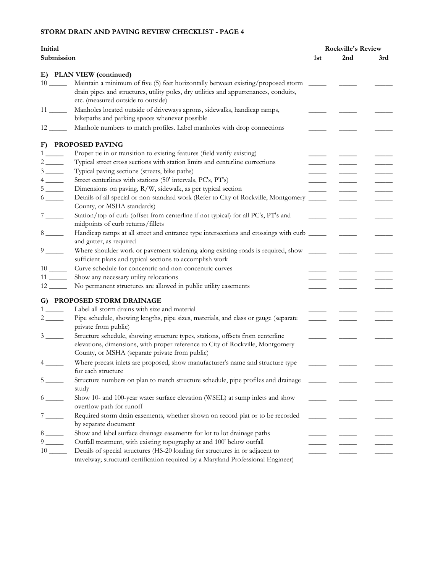| Initial                                                                                                              |     | <b>Rockville's Review</b> |               |  |
|----------------------------------------------------------------------------------------------------------------------|-----|---------------------------|---------------|--|
| Submission                                                                                                           | 1st | 2nd                       | 3rd           |  |
| E) PLAN VIEW (continued)                                                                                             |     |                           |               |  |
| Maintain a minimum of five (5) feet horizontally between existing/proposed storm<br>$10 \ \_$                        |     |                           |               |  |
| drain pipes and structures, utility poles, dry utilities and appurtenances, conduits,                                |     |                           |               |  |
| etc. (measured outside to outside)                                                                                   |     |                           |               |  |
| Manholes located outside of driveways aprons, sidewalks, handicap ramps,                                             |     |                           |               |  |
| bikepaths and parking spaces whenever possible                                                                       |     |                           |               |  |
| Manhole numbers to match profiles. Label manholes with drop connections<br>12 —                                      |     |                           |               |  |
| F) PROPOSED PAVING                                                                                                   |     |                           |               |  |
| Proper tie in or transition to existing features (field verify existing)<br>$\mathbf{1}$                             |     |                           |               |  |
| Typical street cross sections with station limits and centerline corrections                                         |     |                           |               |  |
| Typical paving sections (streets, bike paths)                                                                        |     |                           |               |  |
| Street centerlines with stations (50' intervals, PC's, PT's)<br>$4 \underline{\hspace{1cm}}$                         |     |                           | $\frac{1}{2}$ |  |
| Dimensions on paving, R/W, sidewalk, as per typical section<br>$5 \underline{\hspace{1cm}}$                          |     |                           |               |  |
| Details of all special or non-standard work (Refer to City of Rockville, Montgomery<br>$6 \underline{\hspace{1cm}}$  |     |                           |               |  |
| County, or MSHA standards)                                                                                           |     |                           |               |  |
| Station/top of curb (offset from centerline if not typical) for all PC's, PT's and<br>$7 \underline{\hspace{1cm}}$   |     |                           |               |  |
| midpoints of curb returns/fillets                                                                                    |     |                           |               |  |
| $8 \underline{\hspace{1cm}}$<br>Handicap ramps at all street and entrance type intersections and crossings with curb |     |                           |               |  |
| and gutter, as required                                                                                              |     |                           |               |  |
| $9 \underline{\hspace{1cm}}$<br>Where shoulder work or pavement widening along existing roads is required, show      |     |                           |               |  |
| sufficient plans and typical sections to accomplish work                                                             |     |                           |               |  |
| Curve schedule for concentric and non-concentric curves                                                              |     |                           |               |  |
| $11$ <sub>---</sub><br>Show any necessary utility relocations                                                        |     |                           |               |  |
| No permanent structures are allowed in public utility easements<br>$12$ <sub>_____</sub>                             |     |                           |               |  |
| G) PROPOSED STORM DRAINAGE                                                                                           |     |                           |               |  |
| Label all storm drains with size and material<br>1                                                                   |     |                           |               |  |
| Pipe schedule, showing lengths, pipe sizes, materials, and class or gauge (separate<br>$\frac{2}{\sqrt{2}}$          |     |                           |               |  |
| private from public)                                                                                                 |     |                           |               |  |
| Structure schedule, showing structure types, stations, offsets from centerline<br>$3 \quad \text{ }$                 |     |                           |               |  |
| elevations, dimensions, with proper reference to City of Rockville, Montgomery                                       |     |                           |               |  |
| County, or MSHA (separate private from public)                                                                       |     |                           |               |  |
| Where precast inlets are proposed, show manufacturer's name and structure type<br>$4 \quad \text{ }$                 |     |                           |               |  |
| for each structure                                                                                                   |     |                           |               |  |
| Structure numbers on plan to match structure schedule, pipe profiles and drainage<br>5                               |     |                           |               |  |
| study                                                                                                                |     |                           |               |  |
| Show 10- and 100-year water surface elevation (WSEL) at sump inlets and show<br>$6 \underline{\hspace{1cm}}$         |     |                           |               |  |
| overflow path for runoff                                                                                             |     |                           |               |  |
| Required storm drain easements, whether shown on record plat or to be recorded                                       |     |                           |               |  |
| by separate document                                                                                                 |     |                           |               |  |
| Show and label surface drainage easements for lot to lot drainage paths<br>$8 \underline{\hspace{1cm}}$              |     |                           |               |  |
| $9 \left( \frac{1}{2} \right)$<br>Outfall treatment, with existing topography at and 100' below outfall              |     |                           |               |  |
| $10$ <sub>---</sub><br>Details of special structures (HS-20 loading for structures in or adjacent to                 |     |                           |               |  |
| travelway; structural certification required by a Maryland Professional Engineer)                                    |     |                           |               |  |